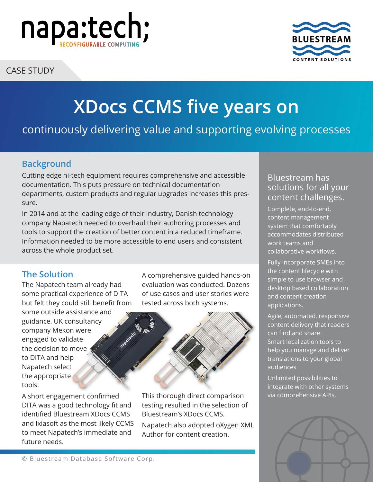

CASE STUDY



# **XDocs CCMS five years on**

# continuously delivering value and supporting evolving processes

# **Background**

Cutting edge hi-tech equipment requires comprehensive and accessible documentation. This puts pressure on technical documentation departments, custom products and regular upgrades increases this pressure.

In 2014 and at the leading edge of their industry, Danish technology company Napatech needed to overhaul their authoring processes and tools to support the creation of better content in a reduced timeframe. Information needed to be more accessible to end users and consistent across the whole product set.

## **The Solution**

The Napatech team already had some practical experience of DITA but felt they could still benefit from

some outside assistance and guidance. UK consultancy company Mekon were engaged to validate the decision to move to DITA and help Napatech select the appropriate tools.

A short engagement confirmed DITA was a good technology fit and identified Bluestream XDocs CCMS and Ixiasoft as the most likely CCMS to meet Napatech's immediate and future needs.

A comprehensive guided hands-on evaluation was conducted. Dozens of use cases and user stories were tested across both systems.



This thorough direct comparison testing resulted in the selection of Bluestream's XDocs CCMS.

Napatech also adopted oXygen XML Author for content creation.

## Bluestream has solutions for all your content challenges.

Complete, end-to-end, content management system that comfortably accommodates distributed work teams and collaborative workflows.

Fully incorporate SMEs into the content lifecycle with simple to use browser and desktop based collaboration and content creation applications.

Agile, automated, responsive content delivery that readers can find and share. Smart localization tools to help you manage and deliver translations to your global audiences.

Unlimited possibilities to integrate with other systems via comprehensive APIs.